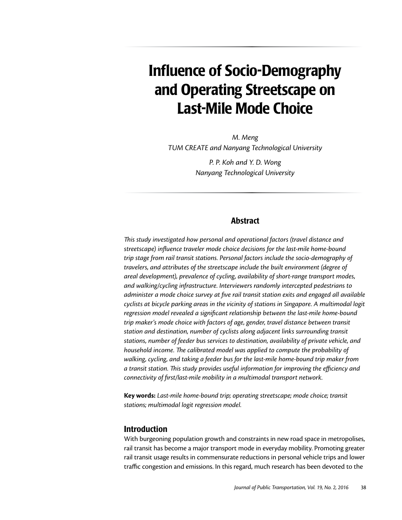# Influence of Socio-Demography and Operating Streetscape on Last-Mile Mode Choice

*M. Meng TUM CREATE and Nanyang Technological University*

> *P. P. Koh and Y. D. Wong Nanyang Technological University*

### Abstract

*This study investigated how personal and operational factors (travel distance and streetscape) influence traveler mode choice decisions for the last-mile home-bound trip stage from rail transit stations. Personal factors include the socio-demography of travelers, and attributes of the streetscape include the built environment (degree of areal development), prevalence of cycling, availability of short-range transport modes, and walking/cycling infrastructure. Interviewers randomly intercepted pedestrians to administer a mode choice survey at five rail transit station exits and engaged all available cyclists at bicycle parking areas in the vicinity of stations in Singapore. A multimodal logit regression model revealed a significant relationship between the last-mile home-bound trip maker's mode choice with factors of age, gender, travel distance between transit station and destination, number of cyclists along adjacent links surrounding transit stations, number of feeder bus services to destination, availability of private vehicle, and household income. The calibrated model was applied to compute the probability of walking, cycling, and taking a feeder bus for the last-mile home-bound trip maker from a transit station. This study provides useful information for improving the efficiency and connectivity of first/last-mile mobility in a multimodal transport network.*

**Key words:** *Last-mile home-bound trip; operating streetscape; mode choice; transit stations; multimodal logit regression model.*

#### Introduction

With burgeoning population growth and constraints in new road space in metropolises, rail transit has become a major transport mode in everyday mobility. Promoting greater rail transit usage results in commensurate reductions in personal vehicle trips and lower traffic congestion and emissions. In this regard, much research has been devoted to the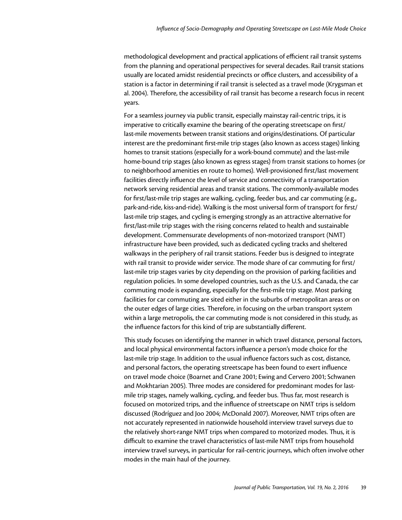methodological development and practical applications of efficient rail transit systems from the planning and operational perspectives for several decades. Rail transit stations usually are located amidst residential precincts or office clusters, and accessibility of a station is a factor in determining if rail transit is selected as a travel mode (Krygsman et al. 2004). Therefore, the accessibility of rail transit has become a research focus in recent years.

For a seamless journey via public transit, especially mainstay rail-centric trips, it is imperative to critically examine the bearing of the operating streetscape on first/ last-mile movements between transit stations and origins/destinations. Of particular interest are the predominant first-mile trip stages (also known as access stages) linking homes to transit stations (especially for a work-bound commute) and the last-mile home-bound trip stages (also known as egress stages) from transit stations to homes (or to neighborhood amenities en route to homes). Well-provisioned first/last movement facilities directly influence the level of service and connectivity of a transportation network serving residential areas and transit stations. The commonly-available modes for first/last-mile trip stages are walking, cycling, feeder bus, and car commuting (e.g., park-and-ride, kiss-and-ride). Walking is the most universal form of transport for first/ last-mile trip stages, and cycling is emerging strongly as an attractive alternative for first/last-mile trip stages with the rising concerns related to health and sustainable development. Commensurate developments of non-motorized transport (NMT) infrastructure have been provided, such as dedicated cycling tracks and sheltered walkways in the periphery of rail transit stations. Feeder bus is designed to integrate with rail transit to provide wider service. The mode share of car commuting for first/ last-mile trip stages varies by city depending on the provision of parking facilities and regulation policies. In some developed countries, such as the U.S. and Canada, the car commuting mode is expanding, especially for the first-mile trip stage. Most parking facilities for car commuting are sited either in the suburbs of metropolitan areas or on the outer edges of large cities. Therefore, in focusing on the urban transport system within a large metropolis, the car commuting mode is not considered in this study, as the influence factors for this kind of trip are substantially different.

This study focuses on identifying the manner in which travel distance, personal factors, and local physical environmental factors influence a person's mode choice for the last-mile trip stage. In addition to the usual influence factors such as cost, distance, and personal factors, the operating streetscape has been found to exert influence on travel mode choice (Boarnet and Crane 2001; Ewing and Cervero 2001; Schwanen and Mokhtarian 2005). Three modes are considered for predominant modes for lastmile trip stages, namely walking, cycling, and feeder bus. Thus far, most research is focused on motorized trips, and the influence of streetscape on NMT trips is seldom discussed (Rodríguez and Joo 2004; McDonald 2007). Moreover, NMT trips often are not accurately represented in nationwide household interview travel surveys due to the relatively short-range NMT trips when compared to motorized modes. Thus, it is difficult to examine the travel characteristics of last-mile NMT trips from household interview travel surveys, in particular for rail-centric journeys, which often involve other modes in the main haul of the journey.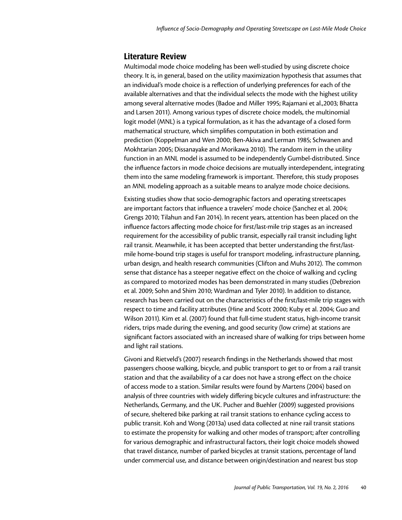### Literature Review

Multimodal mode choice modeling has been well-studied by using discrete choice theory. It is, in general, based on the utility maximization hypothesis that assumes that an individual's mode choice is a reflection of underlying preferences for each of the available alternatives and that the individual selects the mode with the highest utility among several alternative modes (Badoe and Miller 1995; Rajamani et al.,2003; Bhatta and Larsen 2011). Among various types of discrete choice models, the multinomial logit model (MNL) is a typical formulation, as it has the advantage of a closed form mathematical structure, which simplifies computation in both estimation and prediction (Koppelman and Wen 2000; Ben-Akiva and Lerman 1985; Schwanen and Mokhtarian 2005; Dissanayake and Morikawa 2010). The random item in the utility function in an MNL model is assumed to be independently Gumbel-distributed. Since the influence factors in mode choice decisions are mutually interdependent, integrating them into the same modeling framework is important. Therefore, this study proposes an MNL modeling approach as a suitable means to analyze mode choice decisions.

Existing studies show that socio-demographic factors and operating streetscapes are important factors that influence a travelers' mode choice (Sanchez et al. 2004; Grengs 2010; Tilahun and Fan 2014). In recent years, attention has been placed on the influence factors affecting mode choice for first/last-mile trip stages as an increased requirement for the accessibility of public transit, especially rail transit including light rail transit. Meanwhile, it has been accepted that better understanding the first/lastmile home-bound trip stages is useful for transport modeling, infrastructure planning, urban design, and health research communities (Clifton and Muhs 2012). The common sense that distance has a steeper negative effect on the choice of walking and cycling as compared to motorized modes has been demonstrated in many studies (Debrezion et al. 2009; Sohn and Shim 2010; Wardman and Tyler 2010). In addition to distance, research has been carried out on the characteristics of the first/last-mile trip stages with respect to time and facility attributes (Hine and Scott 2000; Kuby et al. 2004; Guo and Wilson 2011). Kim et al. (2007) found that full-time student status, high-income transit riders, trips made during the evening, and good security (low crime) at stations are significant factors associated with an increased share of walking for trips between home and light rail stations.

Givoni and Rietveld's (2007) research findings in the Netherlands showed that most passengers choose walking, bicycle, and public transport to get to or from a rail transit station and that the availability of a car does not have a strong effect on the choice of access mode to a station. Similar results were found by Martens (2004) based on analysis of three countries with widely differing bicycle cultures and infrastructure: the Netherlands, Germany, and the UK. Pucher and Buehler (2009) suggested provisions of secure, sheltered bike parking at rail transit stations to enhance cycling access to public transit. Koh and Wong (2013a) used data collected at nine rail transit stations to estimate the propensity for walking and other modes of transport; after controlling for various demographic and infrastructural factors, their logit choice models showed that travel distance, number of parked bicycles at transit stations, percentage of land under commercial use, and distance between origin/destination and nearest bus stop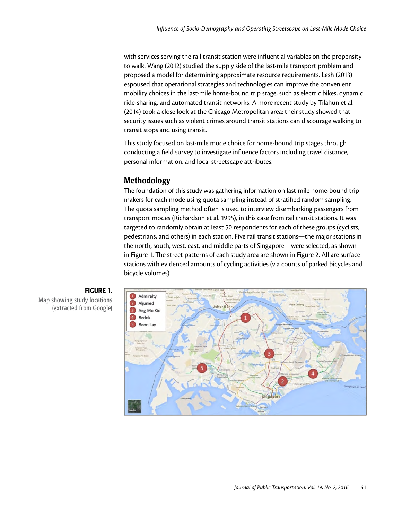with services serving the rail transit station were influential variables on the propensity to walk. Wang (2012) studied the supply side of the last-mile transport problem and proposed a model for determining approximate resource requirements. Lesh (2013) espoused that operational strategies and technologies can improve the convenient mobility choices in the last-mile home-bound trip stage, such as electric bikes, dynamic ride-sharing, and automated transit networks. A more recent study by Tilahun et al. (2014) took a close look at the Chicago Metropolitan area; their study showed that security issues such as violent crimes around transit stations can discourage walking to transit stops and using transit.

This study focused on last-mile mode choice for home-bound trip stages through conducting a field survey to investigate influence factors including travel distance, personal information, and local streetscape attributes.

# Methodology

The foundation of this study was gathering information on last-mile home-bound trip makers for each mode using quota sampling instead of stratified random sampling. The quota sampling method often is used to interview disembarking passengers from transport modes (Richardson et al. 1995), in this case from rail transit stations. It was targeted to randomly obtain at least 50 respondents for each of these groups (cyclists, pedestrians, and others) in each station. Five rail transit stations—the major stations in the north, south, west, east, and middle parts of Singapore—were selected, as shown in Figure 1. The street patterns of each study area are shown in Figure 2. All are surface stations with evidenced amounts of cycling activities (via counts of parked bicycles and bicycle volumes).





Map showing study locations (extracted from Google)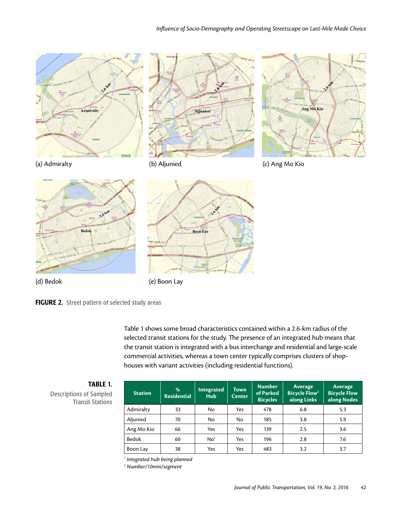









**Bed** 

Table 1 shows some broad characteristics contained within a 2.6-km radius of the selected transit stations for the study. The presence of an integrated hub means that the transit station is integrated with a bus interchange and residential and large-scale commercial activities, whereas a town center typically comprises clusters of shophouses with variant activities (including residential functions).

| п<br><br>D<br>.,<br>20<br>× |
|-----------------------------|
|-----------------------------|

Descriptions of Sampled Transit Stations

| <b>Station</b> | %<br><b>Residential</b> | Integrated<br><b>Hub</b> | <b>Town</b><br><b>Center</b> | <b>Number</b><br>of Parked<br><b>Bicycles</b> | <b>Average</b><br><b>Bicycle Flow<sup>2</sup></b><br>along Links | <b>Average</b><br><b>Bicycle Flow</b><br>along Nodes |
|----------------|-------------------------|--------------------------|------------------------------|-----------------------------------------------|------------------------------------------------------------------|------------------------------------------------------|
| Admiralty      | 33                      | No                       | Yes                          | 478                                           | 6.8                                                              | 5.3                                                  |
| Aljunied       | 70                      | No                       | No                           | 185                                           | 3.8                                                              | 5.9                                                  |
| Ang Mo Kio     | 66                      | Yes                      | Yes                          | 139                                           | 2.5                                                              | 3.6                                                  |
| Bedok          | 60                      | No <sup>1</sup>          | Yes                          | 196                                           | 2.8                                                              | 7.6                                                  |
| Boon Lay       | 38                      | Yes                      | Yes                          | 483                                           | 3.2                                                              | 3.7                                                  |

*1 Integrated hub being planned*

*2 Number/10min/segment*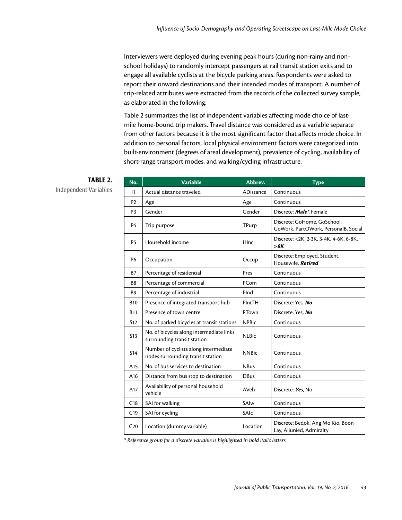Interviewers were deployed during evening peak hours (during non-rainy and nonschool holidays) to randomly intercept passengers at rail transit station exits and to engage all available cyclists at the bicycle parking areas. Respondents were asked to report their onward destinations and their intended modes of transport. A number of trip-related attributes were extracted from the records of the collected survey sample, as elaborated in the following.

Table 2 summarizes the list of independent variables affecting mode choice of lastmile home-bound trip makers. Travel distance was considered as a variable separate from other factors because it is the most significant factor that affects mode choice. In addition to personal factors, local physical environment factors were categorized into built-environment (degrees of areal development), prevalence of cycling, availability of short-range transport modes, and walking/cycling infrastructure.

| No.             | <b>Variable</b>                                                            | Abbrev.      | <b>Type</b>                                                         |
|-----------------|----------------------------------------------------------------------------|--------------|---------------------------------------------------------------------|
| $\mathsf{I}$    | Actual distance traveled                                                   | ADistance    | Continuous                                                          |
| P <sub>2</sub>  | Age                                                                        | Age          | Continuous                                                          |
| P <sub>3</sub>  | Gender                                                                     | Gender       | Discrete: Male*, Female                                             |
| <b>P4</b>       | Trip purpose                                                               | TPurp        | Discrete: GoHome, GoSchool,<br>GoWork, PartOWork, PersonalB, Social |
| P <sub>5</sub>  | Household income                                                           | HInc         | Discrete: <2K, 2-3K, 3-4K, 4-6K, 6-8K,<br>>8K                       |
| <b>P6</b>       | Occupation                                                                 | Occup        | Discrete: Employed, Student,<br>Housewife, Retired                  |
| <b>B7</b>       | Percentage of residential                                                  | Pres         | Continuous                                                          |
| B8              | Percentage of commercial                                                   | PCom         | Continuous                                                          |
| <b>B9</b>       | Percentage of industrial                                                   | PInd         | Continuous                                                          |
| <b>B10</b>      | Presence of integrated transport hub                                       | PIntTH       | Discrete: Yes, No                                                   |
| <b>B11</b>      | Presence of town centre                                                    | PTown        | Discrete: Yes, No                                                   |
| S12             | No. of parked bicycles at transit stations                                 | <b>NPBic</b> | Continuous                                                          |
| S <sub>13</sub> | No. of bicycles along intermediate links<br>surrounding transit station    | <b>NLBic</b> | Continuous                                                          |
| <b>S14</b>      | Number of cyclists along intermediate<br>nodes surrounding transit station | <b>NNBic</b> | Continuous                                                          |
| A15             | No. of bus services to destination                                         | <b>NBus</b>  | Continuous                                                          |
| A16             | Distance from bus stop to destination                                      | <b>DBus</b>  | Continuous                                                          |
| A17             | Availability of personal household<br>vehicle                              | AVeh         | Discrete: Yes, No                                                   |
| C18             | SAI for walking                                                            | SAIw         | Continuous                                                          |
| C <sub>19</sub> | SAI for cycling                                                            | SAIc         | Continuous                                                          |
| C <sub>20</sub> | Location (dummy variable)                                                  | Location     | Discrete: Bedok, Ang Mo Kio, Boon<br>Lay, Aljunied, Admiralty       |

# TABLE 2.

Independent Variables

*\* Reference group for a discrete variable is highlighted in bold italic letters.*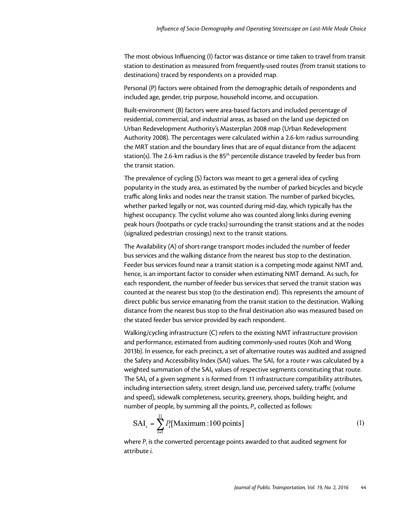The most obvious Influencing (I) factor was distance or time taken to travel from transit station to destination as measured from frequently-used routes (from transit stations to destinations) traced by respondents on a provided map.

Personal (P) factors were obtained from the demographic details of respondents and included age, gender, trip purpose, household income, and occupation.

Built-environment (B) factors were area-based factors and included percentage of residential, commercial, and industrial areas, as based on the land use depicted on Urban Redevelopment Authority's Masterplan 2008 map (Urban Redevelopment Authority 2008). The percentages were calculated within a 2.6-km radius surrounding the MRT station and the boundary lines that are of equal distance from the adjacent station(s). The 2.6-km radius is the 85<sup>th</sup> percentile distance traveled by feeder bus from the transit station.

The prevalence of cycling (S) factors was meant to get a general idea of cycling popularity in the study area, as estimated by the number of parked bicycles and bicycle traffic along links and nodes near the transit station. The number of parked bicycles, whether parked legally or not, was counted during mid-day, which typically has the highest occupancy. The cyclist volume also was counted along links during evening peak hours (footpaths or cycle tracks) surrounding the transit stations and at the nodes (signalized pedestrian crossings) next to the transit stations.

The Availability (A) of short-range transport modes included the number of feeder bus services and the walking distance from the nearest bus stop to the destination. Feeder bus services found near a transit station is a competing mode against NMT and, hence, is an important factor to consider when estimating NMT demand. As such, for each respondent, the number of feeder bus services that served the transit station was counted at the nearest bus stop (to the destination end). This represents the amount of direct public bus service emanating from the transit station to the destination. Walking distance from the nearest bus stop to the final destination also was measured based on the stated feeder bus service provided by each respondent.

Walking/cycling infrastructure (C) refers to the existing NMT infrastructure provision and performance, estimated from auditing commonly-used routes (Koh and Wong 2013b). In essence, for each precinct, a set of alternative routes was audited and assigned the Safety and Accessibility Index (SAI) values. The SAIr for a route *r* was calculated by a weighted summation of the SAI<sub>s</sub> values of respective segments constituting that route. The SAIs of a given segment *s* is formed from 11 infrastructure compatibility attributes, including intersection safety, street design, land use, perceived safety, traffic (volume and speed), sidewalk completeness, security, greenery, shops, building height, and number of people, by summing all the points, *Pi* , collected as follows:

$$
SAI_s = \sum_{i=1}^{11} P_i[\text{Maximum : 100 points}] \tag{1}
$$

where *Pi* is the converted percentage points awarded to that audited segment for attribute *i*.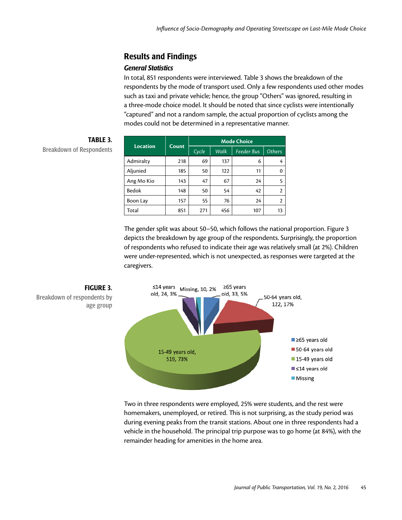# Results and Findings

### *General Statistics*

In total, 851 respondents were interviewed. Table 3 shows the breakdown of the respondents by the mode of transport used. Only a few respondents used other modes such as taxi and private vehicle; hence, the group "Others" was ignored, resulting in a three-mode choice model. It should be noted that since cyclists were intentionally "captured" and not a random sample, the actual proportion of cyclists among the modes could not be determined in a representative manner.

| <b>Location</b> | Count | <b>Mode Choice</b> |      |                   |                |  |
|-----------------|-------|--------------------|------|-------------------|----------------|--|
|                 |       | Cycle              | Walk | <b>Feeder Bus</b> | <b>Others</b>  |  |
| Admiralty       | 218   | 69                 | 137  | 6                 | 4              |  |
| Aljunied        | 185   | 50                 | 122  | 11                | $\Omega$       |  |
| Ang Mo Kio      | 143   | 47                 | 67   | 24                | 5              |  |
| Bedok           | 148   | 50                 | 54   | 42                | $\overline{2}$ |  |
| Boon Lay        | 157   | 55                 | 76   | 24                | $\overline{2}$ |  |
| Total           | 851   | 271                | 456  | 107               | 13             |  |

TABLE 3. **Breakdown of Respondents** 

> The gender split was about 50–50, which follows the national proportion. Figure 3 depicts the breakdown by age group of the respondents. Surprisingly, the proportion of respondents who refused to indicate their age was relatively small (at 2%). Children were under-represented, which is not unexpected, as responses were targeted at the caregivers.



Two in three respondents were employed, 25% were students, and the rest were homemakers, unemployed, or retired. This is not surprising, as the study period was during evening peaks from the transit stations. About one in three respondents had a vehicle in the household. The principal trip purpose was to go home (at 84%), with the remainder heading for amenities in the home area.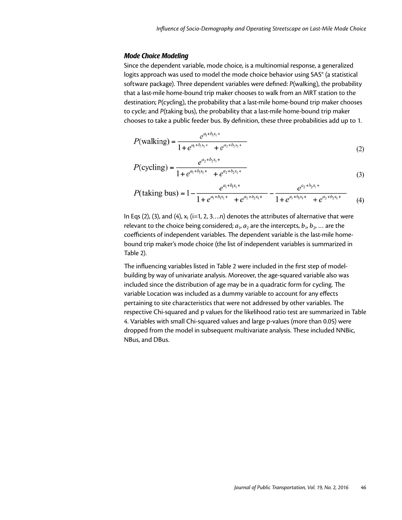#### *Mode Choice Modeling*

Since the dependent variable, mode choice, is a multinomial response, a generalized logits approach was used to model the mode choice behavior using SAS® (a statistical software package). Three dependent variables were defined: *P*(walking), the probability that a last-mile home-bound trip maker chooses to walk from an MRT station to the destination; *P*(cycling), the probability that a last-mile home-bound trip maker chooses to cycle; and *P*(taking bus), the probability that a last-mile home-bound trip maker chooses to take a public feeder bus. By definition, these three probabilities add up to 1.

$$
P(\text{walking}) = \frac{e^{a_1 + b_1 x_1 +}}{1 + e^{a_1 + b_1 x_1 +} + e^{a_2 + b_2 x_1 +}}
$$
(2)

$$
P(\text{cyclic}) = \frac{e^{a_2 + b_2 x_1 +}}{1 + e^{a_1 + b_1 x_1 + \cdots + e^{a_2 + b_2 x_1 + \cdots}}}
$$
(3)

$$
P(\text{taking bus}) = 1 - \frac{e^{a_1 + b_1 x_1 +}}{1 + e^{a_1 + b_1 x_1 +} + e^{a_2 + b_2 x_1 +}} - \frac{e^{a_2 + b_2 x_1 +}}{1 + e^{a_1 + b_1 x_1 +} + e^{a_2 + b_2 x_1 +}}
$$
(4)

In Eqs (2), (3), and (4),  $x_i$  (i=1, 2, 3...n) denotes the attributes of alternative that were relevant to the choice being considered;  $a_1$ ,  $a_2$  are the intercepts,  $b_1$ ,  $b_2$ , ... are the coefficients of independent variables. The dependent variable is the last-mile homebound trip maker's mode choice (the list of independent variables is summarized in Table 2).

The influencing variables listed in Table 2 were included in the first step of modelbuilding by way of univariate analysis. Moreover, the age-squared variable also was included since the distribution of age may be in a quadratic form for cycling. The variable Location was included as a dummy variable to account for any effects pertaining to site characteristics that were not addressed by other variables. The respective Chi-squared and p values for the likelihood ratio test are summarized in Table 4. Variables with small Chi-squared values and large p-values (more than 0.05) were dropped from the model in subsequent multivariate analysis. These included NNBic, NBus, and DBus.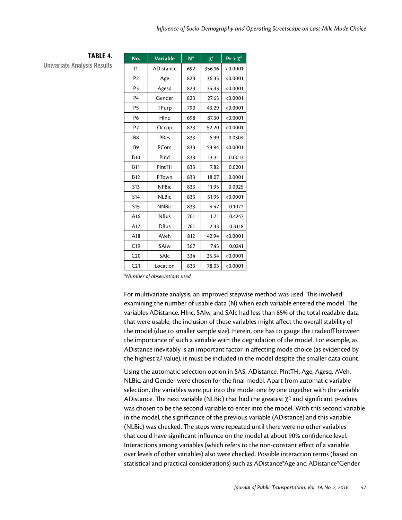| No.             | <b>Variable</b> | $N^*$ | $\chi^2$ | $Pr > \chi^2$ |
|-----------------|-----------------|-------|----------|---------------|
| $\mathsf{I}$    | ADistance       | 692   | 356.16   | < 0.0001      |
| P <sub>2</sub>  | Age             | 823   | 36.35    | < 0.0001      |
| P <sub>3</sub>  | Agesq           | 823   | 34.33    | < 0.0001      |
| P <sub>4</sub>  | Gender          | 823   | 27.65    | < 0.0001      |
| P <sub>5</sub>  | TPurp           | 790   | 43.29    | < 0.0001      |
| P <sub>6</sub>  | HInc            | 698   | 87.30    | < 0.0001      |
| P7              | Occup           | 823   | 52.20    | < 0.0001      |
| B8              | PRes            | 833   | 6.99     | 0.0304        |
| <b>B9</b>       | PCom            | 833   | 53.94    | < 0.0001      |
| <b>B10</b>      | PInd            | 833   | 13.31    | 0.0013        |
| <b>B11</b>      | PIntTH          | 833   | 7.82     | 0.0201        |
| <b>B12</b>      | PTown           | 833   | 18.07    | 0.0001        |
| S <sub>13</sub> | <b>NPBic</b>    | 833   | 11.95    | 0.0025        |
| <b>S14</b>      | <b>NLBic</b>    | 833   | 51.95    | < 0.0001      |
| <b>S15</b>      | <b>NNBic</b>    | 833   | 4.47     | 0.1072        |
| A16             | <b>NBus</b>     | 761   | 1.71     | 0.4247        |
| A17             | <b>DBus</b>     | 761   | 2.33     | 0.3118        |
| A18             | AVeh            | 812   | 42.94    | < 0.0001      |
| C19             | SAIw            | 367   | 7.45     | 0.0241        |
| C <sub>20</sub> | SAIc            | 334   | 25.34    | < 0.0001      |
| C <sub>21</sub> | Location        | 833   | 78.03    | < 0.0001      |

TABLE 4.

Univariate Analysis Results

*\*Number of observations used*

For multivariate analysis, an improved stepwise method was used. This involved examining the number of usable data (N) when each variable entered the model. The variables ADistance, HInc, SAIw, and SAIc had less than 85% of the total readable data that were usable; the inclusion of these variables might affect the overall stability of the model (due to smaller sample size). Herein, one has to gauge the tradeoff between the importance of such a variable with the degradation of the model. For example, as ADistance inevitably is an important factor in affecting mode choice (as evidenced by the highest  $\chi^2$  value), it must be included in the model despite the smaller data count.

Using the automatic selection option in SAS, ADistance, PIntTH, Age, Agesq, AVeh, NLBic, and Gender were chosen for the final model. Apart from automatic variable selection, the variables were put into the model one by one together with the variable ADistance. The next variable (NLBic) that had the greatest  $\chi^2$  and significant p-values was chosen to be the second variable to enter into the model. With this second variable in the model, the significance of the previous variable (ADistance) and this variable (NLBic) was checked. The steps were repeated until there were no other variables that could have significant influence on the model at about 90% confidence level. Interactions among variables (which refers to the non-constant effect of a variable over levels of other variables) also were checked. Possible interaction terms (based on statistical and practical considerations) such as ADistance\*Age and ADistance\*Gender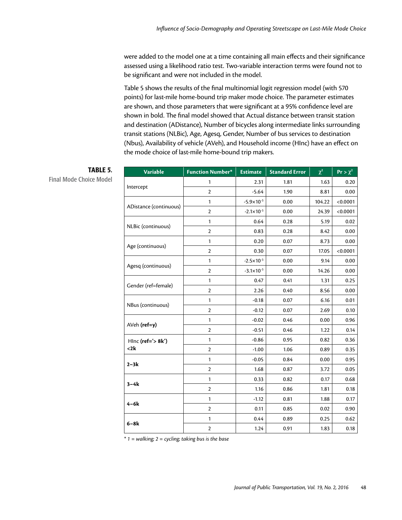were added to the model one at a time containing all main effects and their significance assessed using a likelihood ratio test. Two-variable interaction terms were found not to be significant and were not included in the model.

Table 5 shows the results of the final multinomial logit regression model (with 570 points) for last-mile home-bound trip maker mode choice. The parameter estimates are shown, and those parameters that were significant at a 95% confidence level are shown in bold. The final model showed that Actual distance between transit station and destination (ADistance), Number of bicycles along intermediate links surrounding transit stations (NLBic), Age, Agesq, Gender, Number of bus services to destination (Nbus), Availability of vehicle (AVeh), and Household income (HInc) have an effect on the mode choice of last-mile home-bound trip makers.

| <b>Variable</b>        | <b>Function Number*</b> | <b>Estimate</b>       | <b>Standard Error</b> | $\chi^2$ | $Pr > \chi^2$ |
|------------------------|-------------------------|-----------------------|-----------------------|----------|---------------|
|                        | 1                       | 2.31                  | 1.81                  | 1.63     | 0.20          |
| Intercept              | $\overline{2}$          | $-5.64$               | 1.90                  | 8.81     | 0.00          |
|                        | 1                       | $-5.9 \times 10^{-3}$ | 0.00                  | 104.22   | < 0.0001      |
| ADistance (continuous) | $\mathbf{2}$            | $-2.1 \times 10^{-3}$ | 0.00                  | 24.39    | < 0.0001      |
|                        | 1                       | 0.64                  | 0.28                  | 5.19     | 0.02          |
| NLBic (continuous)     | $\mathbf{2}$            | 0.83                  | 0.28                  | 8.42     | 0.00          |
|                        | 1                       | 0.20                  | 0.07                  | 8.73     | 0.00          |
| Age (continuous)       | $\overline{2}$          | 0.30                  | 0.07                  | 17.05    | < 0.0001      |
|                        | $\mathbf{1}$            | $-2.5 \times 10^{-3}$ | 0.00                  | 9.14     | 0.00          |
| Agesq (continuous)     | $\mathbf{2}$            | $-3.1 \times 10^{-3}$ | 0.00                  | 14.26    | 0.00          |
|                        | 1                       | 0.47                  | 0.41                  | 1.31     | 0.25          |
| Gender (ref=female)    | $\overline{2}$          | 2.26                  | 0.40                  | 8.56     | 0.00          |
|                        | $\mathbf{1}$            | $-0.18$               | 0.07                  | 6.16     | 0.01          |
| NBus (continuous)      | $\mathbf{2}$            | $-0.12$               | 0.07                  | 2.69     | 0.10          |
|                        | 1                       | $-0.02$               | 0.46                  | 0.00     | 0.96          |
| AVeh (ref=y)           | $\overline{2}$          | $-0.51$               | 0.46                  | 1.22     | 0.14          |
| Hlnc ( $ref=' > 8k'$ ) | 1                       | $-0.86$               | 0.95                  | 0.82     | 0.36          |
| <2k                    | $\overline{2}$          | $-1.00$               | 1.06                  | 0.89     | 0.35          |
|                        | 1                       | $-0.05$               | 0.84                  | 0.00     | 0.95          |
| $2-3k$                 | $\mathbf{2}$            | 1.68                  | 0.87                  | 3.72     | 0.05          |
|                        | $\mathbf{1}$            | 0.33                  | 0.82                  | 0.17     | 0.68          |
| $3-4k$                 | $\overline{2}$          | 1.16                  | 0.86                  | 1.81     | 0.18          |
|                        | $\mathbf{1}$            | $-1.12$               | 0.81                  | 1.88     | 0.17          |
| $4-6k$                 | $\mathbf{2}$            | 0.11                  | 0.85                  | 0.02     | 0.90          |
|                        | 1                       | 0.44                  | 0.89                  | 0.25     | 0.62          |
| 6-8k                   | $\mathbf{2}$            | 1.24                  | 0.91                  | 1.83     | 0.18          |

# TABLE 5.

Final Mode Choice Model

*\* 1 = walking; 2 = cycling; taking bus is the base*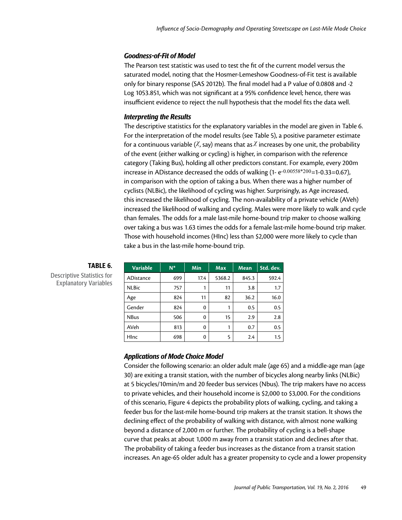#### *Goodness-of-Fit of Model*

The Pearson test statistic was used to test the fit of the current model versus the saturated model, noting that the Hosmer-Lemeshow Goodness-of-Fit test is available only for binary response (SAS 2012b). The final model had a P value of 0.0808 and -2 Log 1053.851, which was not significant at a 95% confidence level; hence, there was insufficient evidence to reject the null hypothesis that the model fits the data well.

### *Interpreting the Results*

The descriptive statistics for the explanatory variables in the model are given in Table 6. For the interpretation of the model results (see Table 5), a positive parameter estimate for a continuous variable ( $X$ , say) means that as  $X$  increases by one unit, the probability of the event (either walking or cycling) is higher, in comparison with the reference category (Taking Bus), holding all other predictors constant. For example, every 200m increase in ADistance decreased the odds of walking  $(1-e^{-0.00558*200}=1-0.33=0.67)$ , in comparison with the option of taking a bus. When there was a higher number of cyclists (NLBic), the likelihood of cycling was higher. Surprisingly, as Age increased, this increased the likelihood of cycling. The non-availability of a private vehicle (AVeh) increased the likelihood of walking and cycling. Males were more likely to walk and cycle than females. The odds for a male last-mile home-bound trip maker to choose walking over taking a bus was 1.63 times the odds for a female last-mile home-bound trip maker. Those with household incomes (HInc) less than \$2,000 were more likely to cycle than take a bus in the last-mile home-bound trip.

| <b>Variable</b>  | $N^*$ | Min  | <b>Max</b> | <b>Mean</b> | Std. dev. |
|------------------|-------|------|------------|-------------|-----------|
| <b>ADistance</b> | 699   | 17.4 | 5368.2     | 845.3       | 592.4     |
| <b>NLBic</b>     | 757   |      | 11         | 3.8         | 1.7       |
| Age              | 824   | 11   | 82         | 36.2        | 16.0      |
| Gender           | 824   | 0    | 1          | 0.5         | 0.5       |
| <b>NBus</b>      | 506   | 0    | 15         | 2.9         | 2.8       |
| <b>AVeh</b>      | 813   | 0    |            | 0.7         | 0.5       |
| HInc             | 698   | 0    | 5          | 2.4         | 1.5       |

# TABLE 6.

Descriptive Statistics for Explanatory Variables

#### *Applications of Mode Choice Model*

Consider the following scenario: an older adult male (age 65) and a middle-age man (age 30) are exiting a transit station, with the number of bicycles along nearby links (NLBic) at 5 bicycles/10min/m and 20 feeder bus services (Nbus). The trip makers have no access to private vehicles, and their household income is \$2,000 to \$3,000. For the conditions of this scenario, Figure 4 depicts the probability plots of walking, cycling, and taking a feeder bus for the last-mile home-bound trip makers at the transit station. It shows the declining effect of the probability of walking with distance, with almost none walking beyond a distance of 2,000 m or further. The probability of cycling is a bell-shape curve that peaks at about 1,000 m away from a transit station and declines after that. The probability of taking a feeder bus increases as the distance from a transit station increases. An age-65 older adult has a greater propensity to cycle and a lower propensity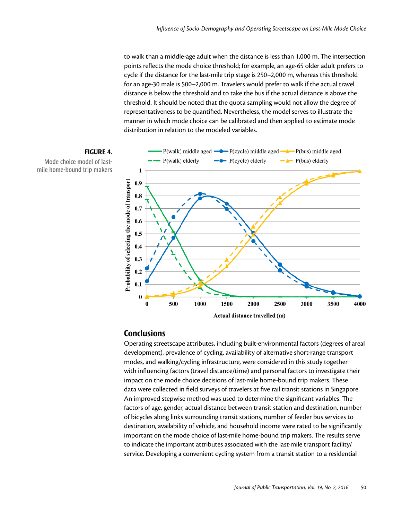to walk than a middle-age adult when the distance is less than 1,000 m. The intersection points reflects the mode choice threshold; for example, an age-65 older adult prefers to cycle if the distance for the last-mile trip stage is 250–2,000 m, whereas this threshold for an age-30 male is 500–2,000 m. Travelers would prefer to walk if the actual travel distance is below the threshold and to take the bus if the actual distance is above the threshold. It should be noted that the quota sampling would not allow the degree of representativeness to be quantified. Nevertheless, the model serves to illustrate the manner in which mode choice can be calibrated and then applied to estimate mode distribution in relation to the modeled variables.



Mode choice model of lastmile home-bound trip makers



# **Conclusions**

Operating streetscape attributes, including built-environmental factors (degrees of areal development), prevalence of cycling, availability of alternative short-range transport modes, and walking/cycling infrastructure, were considered in this study together with influencing factors (travel distance/time) and personal factors to investigate their impact on the mode choice decisions of last-mile home-bound trip makers. These data were collected in field surveys of travelers at five rail transit stations in Singapore. An improved stepwise method was used to determine the significant variables. The factors of age, gender, actual distance between transit station and destination, number of bicycles along links surrounding transit stations, number of feeder bus services to destination, availability of vehicle, and household income were rated to be significantly important on the mode choice of last-mile home-bound trip makers. The results serve to indicate the important attributes associated with the last-mile transport facility/ service. Developing a convenient cycling system from a transit station to a residential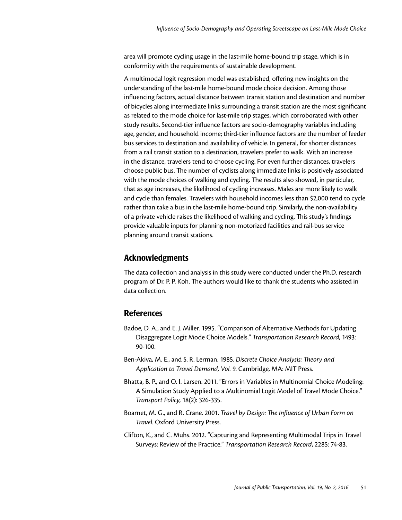area will promote cycling usage in the last-mile home-bound trip stage, which is in conformity with the requirements of sustainable development.

A multimodal logit regression model was established, offering new insights on the understanding of the last-mile home-bound mode choice decision. Among those influencing factors, actual distance between transit station and destination and number of bicycles along intermediate links surrounding a transit station are the most significant as related to the mode choice for last-mile trip stages, which corroborated with other study results. Second-tier influence factors are socio-demography variables including age, gender, and household income; third-tier influence factors are the number of feeder bus services to destination and availability of vehicle. In general, for shorter distances from a rail transit station to a destination, travelers prefer to walk. With an increase in the distance, travelers tend to choose cycling. For even further distances, travelers choose public bus. The number of cyclists along immediate links is positively associated with the mode choices of walking and cycling. The results also showed, in particular, that as age increases, the likelihood of cycling increases. Males are more likely to walk and cycle than females. Travelers with household incomes less than \$2,000 tend to cycle rather than take a bus in the last-mile home-bound trip. Similarly, the non-availability of a private vehicle raises the likelihood of walking and cycling. This study's findings provide valuable inputs for planning non-motorized facilities and rail-bus service planning around transit stations.

### Acknowledgments

The data collection and analysis in this study were conducted under the Ph.D. research program of Dr. P. P. Koh. The authors would like to thank the students who assisted in data collection.

### References

- Badoe, D. A., and E. J. Miller. 1995. "Comparison of Alternative Methods for Updating Disaggregate Logit Mode Choice Models." *Transportation Research Record*, 1493: 90-100.
- Ben-Akiva, M. E., and S. R. Lerman. 1985. *Discrete Choice Analysis: Theory and Application to Travel Demand, Vol. 9*. Cambridge, MA: MIT Press.
- Bhatta, B. P., and O. I. Larsen. 2011. "Errors in Variables in Multinomial Choice Modeling: A Simulation Study Applied to a Multinomial Logit Model of Travel Mode Choice." *Transport Policy*, 18(2): 326-335.
- Boarnet, M. G., and R. Crane. 2001. *Travel by Design: The Influence of Urban Form on Travel*. Oxford University Press.
- Clifton, K., and C. Muhs. 2012. "Capturing and Representing Multimodal Trips in Travel Surveys: Review of the Practice." *Transportation Research Record*, 2285: 74-83.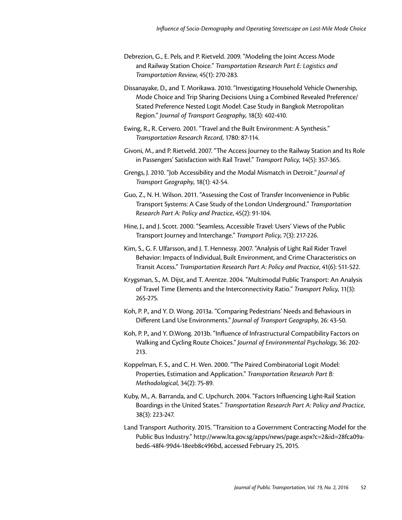- Debrezion, G., E. Pels, and P. Rietveld. 2009. "Modeling the Joint Access Mode and Railway Station Choice." *Transportation Research Part E: Logistics and Transportation Review*, 45(1): 270-283.
- Dissanayake, D., and T. Morikawa. 2010. "Investigating Household Vehicle Ownership, Mode Choice and Trip Sharing Decisions Using a Combined Revealed Preference/ Stated Preference Nested Logit Model: Case Study in Bangkok Metropolitan Region." *Journal of Transport Geography*, 18(3): 402-410.
- Ewing, R., R. Cervero. 2001. "Travel and the Built Environment: A Synthesis." *Transportation Research Record*, 1780: 87-114.
- Givoni, M., and P. Rietveld. 2007. "The Access Journey to the Railway Station and Its Role in Passengers' Satisfaction with Rail Travel." *Transport Policy*, 14(5): 357-365.
- Grengs, J. 2010. "Job Accessibility and the Modal Mismatch in Detroit." *Journal of Transport Geography*, 18(1): 42-54.
- Guo, Z., N. H. Wilson. 2011. "Assessing the Cost of Transfer Inconvenience in Public Transport Systems: A Case Study of the London Underground." *Transportation Research Part A: Policy and Practice*, 45(2): 91-104.
- Hine, J., and J. Scott. 2000. "Seamless, Accessible Travel: Users' Views of the Public Transport Journey and Interchange." *Transport Policy*, 7(3): 217-226.
- Kim, S., G. F. Ulfarsson, and J. T. Hennessy. 2007. "Analysis of Light Rail Rider Travel Behavior: Impacts of Individual, Built Environment, and Crime Characteristics on Transit Access." *Transportation Research Part A: Policy and Practice*, 41(6): 511-522.
- Krygsman, S., M. Dijst, and T. Arentze. 2004. "Multimodal Public Transport: An Analysis of Travel Time Elements and the Interconnectivity Ratio." *Transport Policy*, 11(3): 265-275.
- Koh, P. P., and Y. D. Wong. 2013a. "Comparing Pedestrians' Needs and Behaviours in Different Land Use Environments." *Journal of Transport Geography*, 26: 43-50.
- Koh, P. P., and Y. <D.Wong>. 2013b. "Influence of Infrastructural Compatibility Factors on Walking and Cycling Route Choices." *Journal of Environmental Psychology*, 36: 202- 213.
- Koppelman, F. S., and C. H. Wen. 2000. "The Paired Combinatorial Logit Model: Properties, Estimation and Application." *Transportation Research Part B: Methodological*, 34(2): 75-89.
- Kuby, M., A. Barranda, and C. Upchurch. 2004. "Factors Influencing Light-Rail Station Boardings in the United States." *Transportation Research Part A: Policy and Practice*, 38(3): 223-247.
- Land Transport Authority. 2015. "Transition to a Government Contracting Model for the Public Bus Industry." [http://www.lta.gov.sg/apps/news/page.aspx?c=2&id=28fca09a](http://www.lta.gov.sg/apps/news/page.aspx?c=2&id=28fca09a-bed6-48f4-99d4-18eeb8c496bd,)[bed6-48f4-99d4-18eeb8c496bd,](http://www.lta.gov.sg/apps/news/page.aspx?c=2&id=28fca09a-bed6-48f4-99d4-18eeb8c496bd,) accessed February 25, 2015.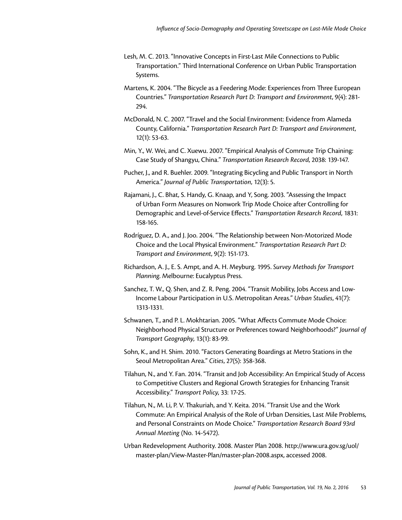- Lesh, M. C. 2013. "Innovative Concepts in First-Last Mile Connections to Public Transportation." Third International Conference on Urban Public Transportation Systems.
- Martens, K. 2004. "The Bicycle as a Feedering Mode: Experiences from Three European Countries." *Transportation Research Part D: Transport and Environment*, 9(4): 281- 294.
- McDonald, N. C. 2007. "Travel and the Social Environment: Evidence from Alameda County, California." *Transportation Research Part D: Transport and Environment*, 12(1): 53-63.
- Min, Y., W. Wei, and C. Xuewu. 2007. "Empirical Analysis of Commute Trip Chaining: Case Study of Shangyu, China." *Transportation Research Record*, 2038: 139-147.
- Pucher, J., and R. Buehler. 2009. "Integrating Bicycling and Public Transport in North America." *Journal of Public Transportation*, 12(3): 5.
- Rajamani, J., C. Bhat, S. Handy, G. Knaap, and Y, Song. 2003. "Assessing the Impact of Urban Form Measures on Nonwork Trip Mode Choice after Controlling for Demographic and Level-of-Service Effects." *Transportation Research Record*, 1831: 158-165.
- Rodríguez, D. A., and J. Joo. 2004. "The Relationship between Non-Motorized Mode Choice and the Local Physical Environment." *Transportation Research Part D: Transport and Environment*, 9(2): 151-173.
- Richardson, A. J., E. S. Ampt, and A. H. Meyburg. 1995. *Survey Methods for Transport Planning*. Melbourne: Eucalyptus Press.
- Sanchez, T. W., Q. Shen, and Z. R. Peng. 2004. "Transit Mobility, Jobs Access and Low-Income Labour Participation in U.S. Metropolitan Areas." *Urban Studies*, 41(7): 1313-1331.
- Schwanen, T., and P. L. Mokhtarian. 2005. "What Affects Commute Mode Choice: Neighborhood Physical Structure or Preferences toward Neighborhoods?" *Journal of Transport Geography*, 13(1): 83-99.
- Sohn, K., and H. Shim. 2010. "Factors Generating Boardings at Metro Stations in the Seoul Metropolitan Area." *Cities*, 27(5): 358-368.
- Tilahun, N., and Y. Fan. 2014. "Transit and Job Accessibility: An Empirical Study of Access to Competitive Clusters and Regional Growth Strategies for Enhancing Transit Accessibility." *Transport Policy*, 33: 17-25.
- Tilahun, N., M. Li, P. V. Thakuriah, and Y. Keita. 2014. "Transit Use and the Work Commute: An Empirical Analysis of the Role of Urban Densities, Last Mile Problems, and Personal Constraints on Mode Choice." *Transportation Research Board 93rd Annual Meeting* (No. 14-5472).
- Urban Redevelopment Authority. 2008. Master Plan 2008. [http://www.ura.gov.sg/uol/](http://www.ura.gov.sg/uol/master-plan/View-Master-Plan/master-plan-2008.aspx) [master-plan/View-Master-Plan/master-plan-2008.aspx,](http://www.ura.gov.sg/uol/master-plan/View-Master-Plan/master-plan-2008.aspx) accessed 2008.